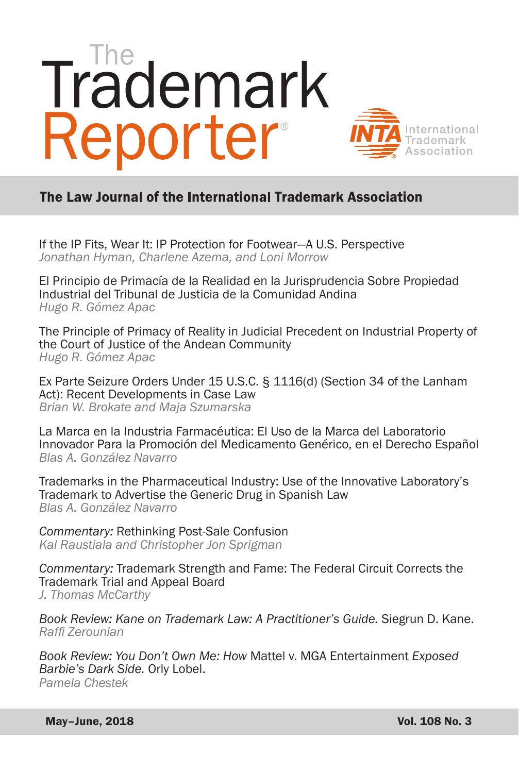# Trademark Reporter



# The Law Journal of the International Trademark Association

[If the IP Fits, Wear It: IP Protection for Footwear—A U.S. Perspective](#page--1-0) *Jonathan Hyman, Charlene Azema, and Loni Morrow*

[El Principio de Primacía de la Realidad en la Jurisprudencia Sobre Propiedad](#page--1-0)  Industrial del Tribunal de Justicia de la Comunidad Andina *Hugo R. Gómez Apac*

[The Principle of Primacy of Reality in Judicial Precedent on Industrial Property of](#page--1-0)  the Court of Justice of the Andean Community *Hugo R. Gómez Apac*

[Ex Parte Seizure Orders Under 15 U.S.C. § 1116\(d\) \(Section 34 of the Lanham](#page--1-0)  Act): Recent Developments in Case Law *Brian W. Brokate and Maja Szumarska*

La Marca en la Industria Farmacéutica: El Uso de la Marca del Laboratorio [Innovador Para la Promoción del Medicamento Genérico, en el Derecho Español](#page--1-0) *Blas A. González Navarro*

[Trademarks in the Pharmaceutical Industry: Use of the Innovative Laboratory's](#page--1-0)  Trademark to Advertise the Generic Drug in Spanish Law *Blas A. González Navarro*

*Commentary:* Rethinking Post-Sale Confusion *[Kal Raustiala and Christopher Jon Sprigman](#page--1-0)*

*Commentary:* [Trademark Strength and Fame: The Federal Circuit Corrects the](#page--1-0)  Trademark Trial and Appeal Board *J. Thomas McCarthy*

*[Book Review: Kane on Trademark Law: A Practitioner's Guide.](#page--1-0)* Siegrun D. Kane. *Raffi Zerounian* 

*Book Review: You Don't Own Me: How* [Mattel v. MGA Entertainment](#page--1-0) *Exposed Barbie's Dark Side.* Orly Lobel. *Pamela Chestek*

May–June, 2018 Vol. 108 No. 3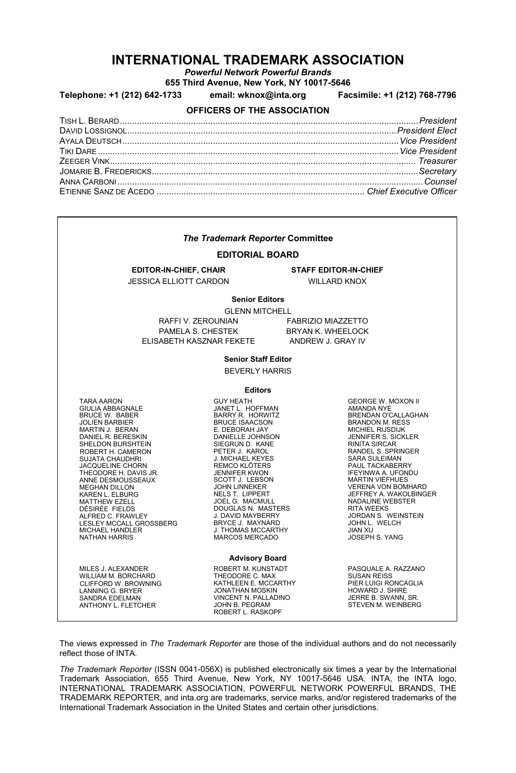# **INTERNATIONAL TRADEMARK ASSOCIATION**

*Powerful Network Powerful Brands*

**655 Third Avenue, New York, NY 10017-5646**

**Telephone: +1 (212) 642-1733 email: wknox@inta.org Facsimile: +1 (212) 768-7796**

#### **OFFICERS OF THE ASSOCIATION**

| <b>The Trademark Reporter Committee</b><br><b>EDITORIAL BOARD</b>                                                                                                                                                                                                                                                                                                                                                                                                             |                                                                                                                                                                                                                                                                                                                                                                                                                                                                                       |                                                                                                                                                                                                                                                                                                                                                                                                                                                                                             |  |
|-------------------------------------------------------------------------------------------------------------------------------------------------------------------------------------------------------------------------------------------------------------------------------------------------------------------------------------------------------------------------------------------------------------------------------------------------------------------------------|---------------------------------------------------------------------------------------------------------------------------------------------------------------------------------------------------------------------------------------------------------------------------------------------------------------------------------------------------------------------------------------------------------------------------------------------------------------------------------------|---------------------------------------------------------------------------------------------------------------------------------------------------------------------------------------------------------------------------------------------------------------------------------------------------------------------------------------------------------------------------------------------------------------------------------------------------------------------------------------------|--|
|                                                                                                                                                                                                                                                                                                                                                                                                                                                                               |                                                                                                                                                                                                                                                                                                                                                                                                                                                                                       |                                                                                                                                                                                                                                                                                                                                                                                                                                                                                             |  |
|                                                                                                                                                                                                                                                                                                                                                                                                                                                                               | <b>Senior Editors</b><br><b>GLENN MITCHELL</b>                                                                                                                                                                                                                                                                                                                                                                                                                                        |                                                                                                                                                                                                                                                                                                                                                                                                                                                                                             |  |
| RAFFI V. ZEROUNIAN<br>PAMELA S. CHESTEK<br>ELISABETH KASZNAR FEKETE ANDREW J. GRAY IV                                                                                                                                                                                                                                                                                                                                                                                         |                                                                                                                                                                                                                                                                                                                                                                                                                                                                                       | FABRIZIO MIAZZETTO<br><b>BRYAN K. WHEELOCK</b>                                                                                                                                                                                                                                                                                                                                                                                                                                              |  |
|                                                                                                                                                                                                                                                                                                                                                                                                                                                                               | <b>Senior Staff Editor</b>                                                                                                                                                                                                                                                                                                                                                                                                                                                            |                                                                                                                                                                                                                                                                                                                                                                                                                                                                                             |  |
| <b>BEVERLY HARRIS</b>                                                                                                                                                                                                                                                                                                                                                                                                                                                         |                                                                                                                                                                                                                                                                                                                                                                                                                                                                                       |                                                                                                                                                                                                                                                                                                                                                                                                                                                                                             |  |
| <b>Editors</b>                                                                                                                                                                                                                                                                                                                                                                                                                                                                |                                                                                                                                                                                                                                                                                                                                                                                                                                                                                       |                                                                                                                                                                                                                                                                                                                                                                                                                                                                                             |  |
| <b>TARA AARON</b><br><b>GIULIA ABBAGNALE</b><br>BRUCE W. BABER<br>JOLIEN BARBIER<br>MARTIN J. BERAN<br>DANIEL R. BERESKIN<br>SHELDON BURSHTEIN<br>ROBERT H. CAMERON<br><b>SUJATA CHAUDHRI</b><br>JACQUELINE CHORN<br>JACQUELINE CHORN<br>THEODORE H. DAVIS JR.<br>ANNE DESMOUSSEAUX<br><b>MEGHAN DILLON</b><br>KAREN L. ELBURG<br>MATTHEW EZELL<br>DÉSIRÉE FIELDS<br>ALFRED C. FRAWLEY<br>LESLEY MCCALL GROSSBERG<br>MICHAEL HANDLER<br>NATHAN HARRIS<br><b>NATHAN HARRIS</b> | <b>GUY HEATH</b><br>JANET L. HOFFMANY<br>BARRY R. HORWITZ<br>BRUCE ISAACSON<br>E. DEBORAH JAY<br>DANIELLE JOHNSON<br>SIEGRUN D. KANE<br>SIEGRUN D. KANE<br>PETER J. KAROL<br>J. MICHAEL KEYES<br>REMOC KLÔTERS<br>JENNIER KWON<br>SCOTT J. LEBSON<br>JOHN LINNEKER<br>NELS T. LIPPERT<br>NELS T. LIPPERT<br>DOUGLAS N. MASTER<br>DOUGLAS N. MASTER<br>J. DAVID MAYSERRY<br>DOUGLAS N. MASTERS<br>J. DAVID MAYBERRY<br>BRYCE J. MAYNARD<br>J. THOMAS MCCARTHY<br><b>MARCOS MERCADO</b> | <b>GEORGE W. MOXON II</b><br><b>AMANDA NYE</b><br>BRENDAN O'CALLAGHAN<br><b>BRANDON M. RESS</b><br><b>MICHIEL RIJSDIJK</b><br>JENNIFER S. SICKLER<br><b>RINITA SIRCAR</b><br><b>RANDEL S. SPRINGER</b><br><b>SARA SULEIMAN</b><br>PAUL TACKABERRY<br><b>IFEYINWA A. UFONDU</b><br><b>MARTIN VIEFHUES</b><br><b>VERENA VON BOMHARD</b><br>JEFFREY A. WAKOLBINGER<br><b>NADALINE WEBSTER</b><br><b>RITA WEEKS</b><br>JORDAN S. WEINSTEIN<br>JOHN L. WELCH<br><b>JIAN XU</b><br>JOSEPH S. YANG |  |
|                                                                                                                                                                                                                                                                                                                                                                                                                                                                               | <b>Advisory Board</b>                                                                                                                                                                                                                                                                                                                                                                                                                                                                 |                                                                                                                                                                                                                                                                                                                                                                                                                                                                                             |  |
| MILES J. ALEXANDER<br>WILLIAM M. BORCHARD<br>CLIFFORD W. BROWNING<br>LANNING G. BRYER<br>SANDRA EDELMAN<br>ANTHONY L. FLETCHER                                                                                                                                                                                                                                                                                                                                                | ROBERT M. KUNSTADT<br>THEODORE C. MAX<br>KATHLEEN E. MCCARTHY<br><b>JONATHAN MOSKIN</b><br>VINCENT N. PALLADINO<br>JOHN B. PEGRAM<br>ROBERT L. RASKOPF                                                                                                                                                                                                                                                                                                                                | PASQUALE A. RAZZANO<br><b>SUSAN REISS</b><br>PIER LUIGI RONCAGLIA<br>HOWARD J. SHIRE<br>JERRE B. SWANN, SR.<br>STEVEN M. WEINBERG                                                                                                                                                                                                                                                                                                                                                           |  |

The views expressed in *The Trademark Reporter* are those of the individual authors and do not necessarily reflect those of INTA.

*The Trademark Reporter* (ISSN 0041-056X) is published electronically six times a year by the International Trademark Association, 655 Third Avenue, New York, NY 10017-5646 USA. INTA, the INTA logo, INTERNATIONAL TRADEMARK ASSOCIATION, POWERFUL NETWORK POWERFUL BRANDS, THE TRADEMARK REPORTER, and inta.org are trademarks, service marks, and/or registered trademarks of the International Trademark Association in the United States and certain other jurisdictions.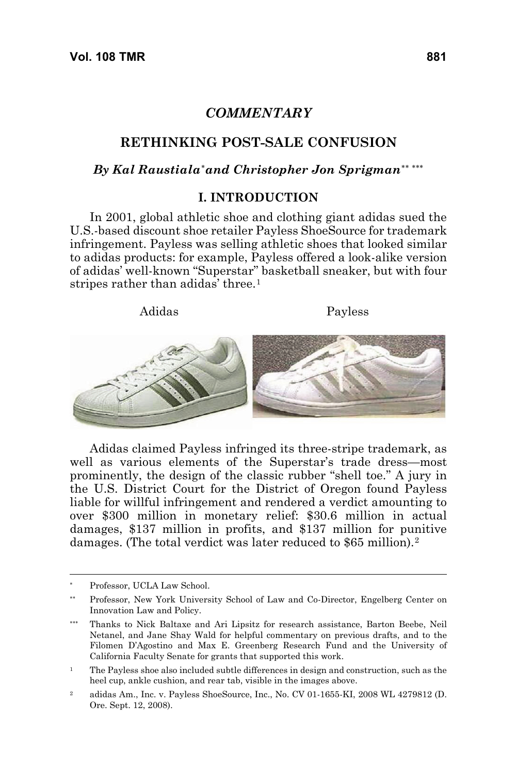# *COMMENTARY*

### **RETHINKING POST-SALE CONFUSION**

## *By Kal Raustiala*[∗](#page-2-0) *and Christopher Jon Sprigman*[∗∗](#page-2-1) [∗∗∗](#page-2-2)

#### **I. INTRODUCTION**

In 2001, global athletic shoe and clothing giant adidas sued the U.S.-based discount shoe retailer Payless ShoeSource for trademark infringement. Payless was selling athletic shoes that looked similar to adidas products: for example, Payless offered a look-alike version of adidas' well-known "Superstar" basketball sneaker, but with four stripes rather than adidas' three.<sup>[1](#page-2-3)</sup>

#### Adidas Payless



Adidas claimed Payless infringed its three-stripe trademark, as well as various elements of the Superstar's trade dress—most prominently, the design of the classic rubber "shell toe." A jury in the U.S. District Court for the District of Oregon found Payless liable for willful infringement and rendered a verdict amounting to over \$300 million in monetary relief: \$30.6 million in actual damages, \$137 million in profits, and \$137 million for punitive damages. (The total verdict was later reduced to \$65 million).[2](#page-2-4)

<span id="page-2-0"></span>Professor, UCLA Law School.

<span id="page-2-1"></span><sup>∗∗</sup> Professor, New York University School of Law and Co-Director, Engelberg Center on Innovation Law and Policy.

<span id="page-2-2"></span><sup>∗∗∗</sup> Thanks to Nick Baltaxe and Ari Lipsitz for research assistance, Barton Beebe, Neil Netanel, and Jane Shay Wald for helpful commentary on previous drafts, and to the Filomen D'Agostino and Max E. Greenberg Research Fund and the University of California Faculty Senate for grants that supported this work.

<span id="page-2-3"></span><sup>&</sup>lt;sup>1</sup> The Payless shoe also included subtle differences in design and construction, such as the heel cup, ankle cushion, and rear tab, visible in the images above.

<span id="page-2-4"></span><sup>2</sup> adidas Am., Inc. v. Payless ShoeSource, Inc., No. CV 01-1655-KI, 2008 WL 4279812 (D. Ore. Sept. 12, 2008).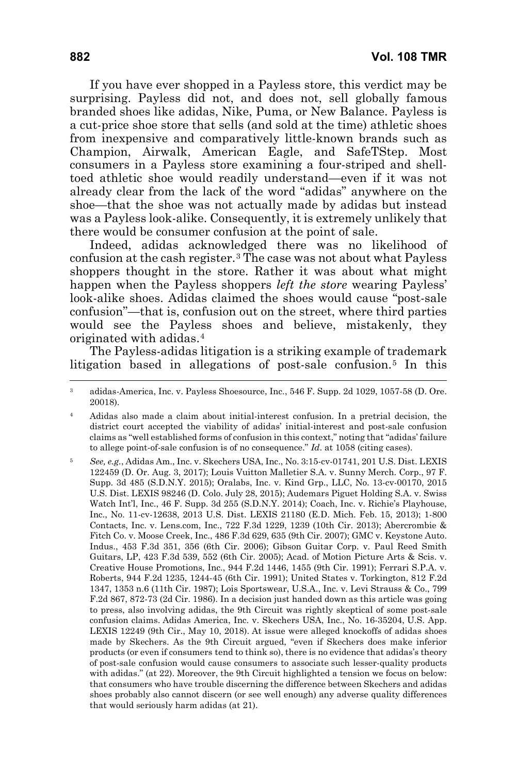If you have ever shopped in a Payless store, this verdict may be surprising. Payless did not, and does not, sell globally famous branded shoes like adidas, Nike, Puma, or New Balance. Payless is a cut-price shoe store that sells (and sold at the time) athletic shoes from inexpensive and comparatively little-known brands such as Champion, Airwalk, American Eagle, and SafeTStep. Most consumers in a Payless store examining a four-striped and shelltoed athletic shoe would readily understand—even if it was not already clear from the lack of the word "adidas" anywhere on the shoe—that the shoe was not actually made by adidas but instead was a Payless look-alike. Consequently, it is extremely unlikely that there would be consumer confusion at the point of sale.

Indeed, adidas acknowledged there was no likelihood of confusion at the cash register.[3](#page-3-0) The case was not about what Payless shoppers thought in the store. Rather it was about what might happen when the Payless shoppers *left the store* wearing Payless' look-alike shoes. Adidas claimed the shoes would cause "post-sale confusion"—that is, confusion out on the street, where third parties would see the Payless shoes and believe, mistakenly, they originated with adidas.[4](#page-3-1)

The Payless-adidas litigation is a striking example of trademark litigation based in allegations of post-sale confusion.<sup>[5](#page-3-2)</sup> In this

<span id="page-3-0"></span><sup>3</sup> adidas-America, Inc. v. Payless Shoesource, Inc., 546 F. Supp. 2d 1029, 1057-58 (D. Ore. 20018).

<span id="page-3-1"></span><sup>4</sup> Adidas also made a claim about initial-interest confusion. In a pretrial decision, the district court accepted the viability of adidas' initial-interest and post-sale confusion claims as "well established forms of confusion in this context," noting that "adidas' failure to allege point-of-sale confusion is of no consequence." *Id*. at 1058 (citing cases).

<span id="page-3-2"></span><sup>5</sup> *See, e.g.*, Adidas Am., Inc. v. Skechers USA, Inc., No. 3:15-cv-01741, 201 U.S. Dist. LEXIS 122459 (D. Or. Aug. 3, 2017); Louis Vuitton Malletier S.A. v. Sunny Merch. Corp., 97 F. Supp. 3d 485 (S.D.N.Y. 2015); Oralabs, Inc. v. Kind Grp., LLC, No. 13-cv-00170, 2015 U.S. Dist. LEXIS 98246 (D. Colo. July 28, 2015); Audemars Piguet Holding S.A. v. Swiss Watch Int'l, Inc., 46 F. Supp. 3d 255 (S.D.N.Y. 2014); Coach, Inc. v. Richie's Playhouse, Inc., No. 11-cv-12638, 2013 U.S. Dist. LEXIS 21180 (E.D. Mich. Feb. 15, 2013); 1-800 Contacts, Inc. v. Lens.com, Inc., 722 F.3d 1229, 1239 (10th Cir. 2013); Abercrombie & Fitch Co. v. Moose Creek, Inc., 486 F.3d 629, 635 (9th Cir. 2007); GMC v. Keystone Auto. Indus., 453 F.3d 351, 356 (6th Cir. 2006); Gibson Guitar Corp. v. Paul Reed Smith Guitars, LP, 423 F.3d 539, 552 (6th Cir. 2005); Acad. of Motion Picture Arts & Scis. v. Creative House Promotions, Inc., 944 F.2d 1446, 1455 (9th Cir. 1991); Ferrari S.P.A. v. Roberts, 944 F.2d 1235, 1244-45 (6th Cir. 1991); United States v. Torkington, 812 F.2d 1347, 1353 n.6 (11th Cir. 1987); Lois Sportswear, U.S.A., Inc. v. Levi Strauss & Co., 799 F.2d 867, 872-73 (2d Cir. 1986). In a decision just handed down as this article was going to press, also involving adidas, the 9th Circuit was rightly skeptical of some post-sale confusion claims. Adidas America, Inc. v. Skechers USA, Inc., No. 16-35204, U.S. App. LEXIS 12249 (9th Cir., May 10, 2018). At issue were alleged knockoffs of adidas shoes made by Skechers. As the 9th Circuit argued, "even if Skechers does make inferior products (or even if consumers tend to think so), there is no evidence that adidas's theory of post-sale confusion would cause consumers to associate such lesser-quality products with adidas." (at 22). Moreover, the 9th Circuit highlighted a tension we focus on below: that consumers who have trouble discerning the difference between Skechers and adidas shoes probably also cannot discern (or see well enough) any adverse quality differences that would seriously harm adidas (at 21).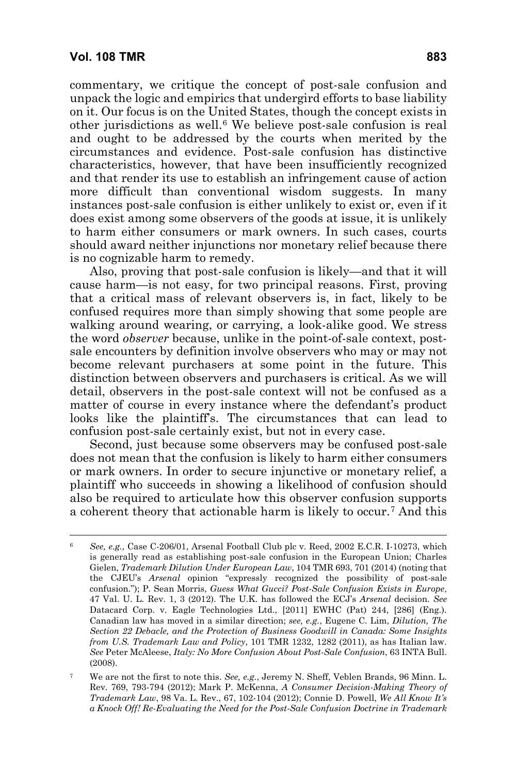commentary, we critique the concept of post-sale confusion and unpack the logic and empirics that undergird efforts to base liability on it. Our focus is on the United States, though the concept exists in other jurisdictions as well.[6](#page-4-0) We believe post-sale confusion is real and ought to be addressed by the courts when merited by the circumstances and evidence. Post-sale confusion has distinctive characteristics, however, that have been insufficiently recognized and that render its use to establish an infringement cause of action more difficult than conventional wisdom suggests. In many instances post-sale confusion is either unlikely to exist or, even if it does exist among some observers of the goods at issue, it is unlikely to harm either consumers or mark owners. In such cases, courts should award neither injunctions nor monetary relief because there is no cognizable harm to remedy.

Also, proving that post-sale confusion is likely—and that it will cause harm—is not easy, for two principal reasons. First, proving that a critical mass of relevant observers is, in fact, likely to be confused requires more than simply showing that some people are walking around wearing, or carrying, a look-alike good. We stress the word *observer* because, unlike in the point-of-sale context, postsale encounters by definition involve observers who may or may not become relevant purchasers at some point in the future. This distinction between observers and purchasers is critical. As we will detail, observers in the post-sale context will not be confused as a matter of course in every instance where the defendant's product looks like the plaintiff's. The circumstances that can lead to confusion post-sale certainly exist, but not in every case.

Second, just because some observers may be confused post-sale does not mean that the confusion is likely to harm either consumers or mark owners. In order to secure injunctive or monetary relief, a plaintiff who succeeds in showing a likelihood of confusion should also be required to articulate how this observer confusion supports a coherent theory that actionable harm is likely to occur.[7](#page-4-1) And this

<span id="page-4-0"></span><sup>6</sup> *See, e.g.*, Case C-206/01, Arsenal Football Club plc v. Reed, 2002 E.C.R. I-10273, which is generally read as establishing post-sale confusion in the European Union; Charles Gielen, *Trademark Dilution Under European Law*, 104 TMR 693, 701 (2014) (noting that the CJEU's *Arsenal* opinion "expressly recognized the possibility of post-sale confusion."); P. Sean Morris, *Guess What Gucci? Post-Sale Confusion Exists in Europe*, 47 Val. U. L. Rev. 1, 3 (2012). The U.K. has followed the ECJ's *Arsenal* decision. *See* Datacard Corp. v. Eagle Technologies Ltd., [2011] EWHC (Pat) 244, [286] (Eng.). Canadian law has moved in a similar direction; *see, e.g.*, Eugene C. Lim, *Dilution, The Section 22 Debacle, and the Protection of Business Goodwill in Canada: Some Insights from U.S. Trademark Law and Policy*, 101 TMR 1232, 1282 (2011), as has Italian law. *See* Peter McAleese, *Italy: No More Confusion About Post-Sale Confusion*, 63 INTA Bull. (2008).

<span id="page-4-1"></span><sup>7</sup> We are not the first to note this. *See, e.g.*, Jeremy N. Sheff, Veblen Brands, 96 Minn. L. Rev. 769, 793-794 (2012); Mark P. McKenna, *A Consumer Decision-Making Theory of Trademark Law*, 98 Va. L. Rev., 67, 102-104 (2012); Connie D. Powell, *We All Know It's a Knock Off! Re-Evaluating the Need for the Post-Sale Confusion Doctrine in Trademark*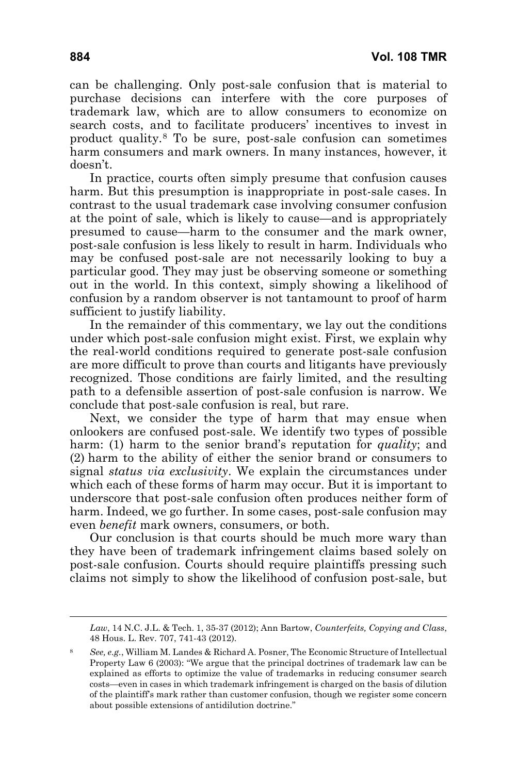can be challenging. Only post-sale confusion that is material to purchase decisions can interfere with the core purposes of trademark law, which are to allow consumers to economize on search costs, and to facilitate producers' incentives to invest in product quality.[8](#page-5-0) To be sure, post-sale confusion can sometimes harm consumers and mark owners. In many instances, however, it doesn't.

In practice, courts often simply presume that confusion causes harm. But this presumption is inappropriate in post-sale cases. In contrast to the usual trademark case involving consumer confusion at the point of sale, which is likely to cause—and is appropriately presumed to cause—harm to the consumer and the mark owner, post-sale confusion is less likely to result in harm. Individuals who may be confused post-sale are not necessarily looking to buy a particular good. They may just be observing someone or something out in the world. In this context, simply showing a likelihood of confusion by a random observer is not tantamount to proof of harm sufficient to justify liability.

In the remainder of this commentary, we lay out the conditions under which post-sale confusion might exist. First, we explain why the real-world conditions required to generate post-sale confusion are more difficult to prove than courts and litigants have previously recognized. Those conditions are fairly limited, and the resulting path to a defensible assertion of post-sale confusion is narrow. We conclude that post-sale confusion is real, but rare.

Next, we consider the type of harm that may ensue when onlookers are confused post-sale. We identify two types of possible harm: (1) harm to the senior brand's reputation for *quality*; and (2) harm to the ability of either the senior brand or consumers to signal *status via exclusivity*. We explain the circumstances under which each of these forms of harm may occur. But it is important to underscore that post-sale confusion often produces neither form of harm. Indeed, we go further. In some cases, post-sale confusion may even *benefit* mark owners, consumers, or both.

Our conclusion is that courts should be much more wary than they have been of trademark infringement claims based solely on post-sale confusion. Courts should require plaintiffs pressing such claims not simply to show the likelihood of confusion post-sale, but

*Law*, 14 N.C. J.L. & Tech. 1, 35-37 (2012); Ann Bartow, *Counterfeits, Copying and Class*, 48 Hous. L. Rev. 707, 741-43 (2012).

<span id="page-5-0"></span><sup>8</sup> *See, e.g.*, William M. Landes & Richard A. Posner, The Economic Structure of Intellectual Property Law 6 (2003): "We argue that the principal doctrines of trademark law can be explained as efforts to optimize the value of trademarks in reducing consumer search costs—even in cases in which trademark infringement is charged on the basis of dilution of the plaintiff's mark rather than customer confusion, though we register some concern about possible extensions of antidilution doctrine."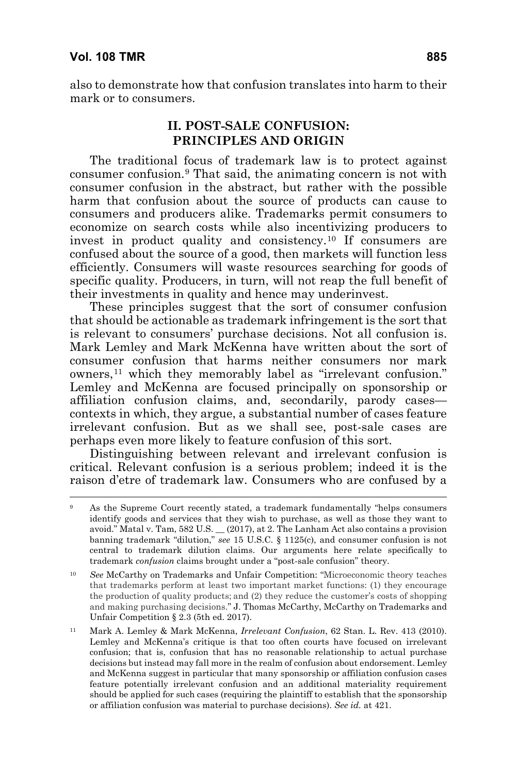also to demonstrate how that confusion translates into harm to their mark or to consumers.

## **II. POST-SALE CONFUSION: PRINCIPLES AND ORIGIN**

The traditional focus of trademark law is to protect against consumer confusion.[9](#page-6-0) That said, the animating concern is not with consumer confusion in the abstract, but rather with the possible harm that confusion about the source of products can cause to consumers and producers alike. Trademarks permit consumers to economize on search costs while also incentivizing producers to invest in product quality and consistency.[10](#page-6-1) If consumers are confused about the source of a good, then markets will function less efficiently. Consumers will waste resources searching for goods of specific quality. Producers, in turn, will not reap the full benefit of their investments in quality and hence may underinvest.

These principles suggest that the sort of consumer confusion that should be actionable as trademark infringement is the sort that is relevant to consumers' purchase decisions. Not all confusion is. Mark Lemley and Mark McKenna have written about the sort of consumer confusion that harms neither consumers nor mark owners,<sup>[11](#page-6-2)</sup> which they memorably label as "irrelevant confusion." Lemley and McKenna are focused principally on sponsorship or affiliation confusion claims, and, secondarily, parody cases contexts in which, they argue, a substantial number of cases feature irrelevant confusion. But as we shall see, post-sale cases are perhaps even more likely to feature confusion of this sort.

Distinguishing between relevant and irrelevant confusion is critical. Relevant confusion is a serious problem; indeed it is the raison d'etre of trademark law. Consumers who are confused by a

<span id="page-6-0"></span>As the Supreme Court recently stated, a trademark fundamentally "helps consumers identify goods and services that they wish to purchase, as well as those they want to avoid." Matal v. Tam, 582 U.S. \_\_ (2017), at 2. The Lanham Act also contains a provision banning trademark "dilution," *see* 15 U.S.C. § 1125(c), and consumer confusion is not central to trademark dilution claims. Our arguments here relate specifically to trademark *confusion* claims brought under a "post-sale confusion" theory.

<span id="page-6-1"></span><sup>10</sup> *See* McCarthy on Trademarks and Unfair Competition: "Microeconomic theory teaches that trademarks perform at least two important market functions: (1) they encourage the production of quality products; and (2) they reduce the customer's costs of shopping and making purchasing decisions." J. Thomas McCarthy, McCarthy on Trademarks and Unfair Competition § 2.3 (5th ed. 2017).

<span id="page-6-2"></span><sup>11</sup> Mark A. Lemley & Mark McKenna, *Irrelevant Confusion*, 62 Stan. L. Rev. 413 (2010). Lemley and McKenna's critique is that too often courts have focused on irrelevant confusion; that is, confusion that has no reasonable relationship to actual purchase decisions but instead may fall more in the realm of confusion about endorsement. Lemley and McKenna suggest in particular that many sponsorship or affiliation confusion cases feature potentially irrelevant confusion and an additional materiality requirement should be applied for such cases (requiring the plaintiff to establish that the sponsorship or affiliation confusion was material to purchase decisions). *See id.* at 421.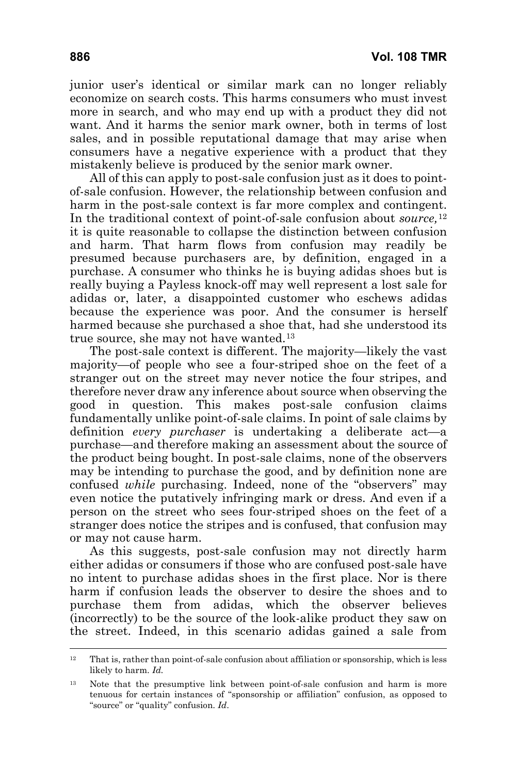junior user's identical or similar mark can no longer reliably economize on search costs. This harms consumers who must invest more in search, and who may end up with a product they did not want. And it harms the senior mark owner, both in terms of lost sales, and in possible reputational damage that may arise when consumers have a negative experience with a product that they mistakenly believe is produced by the senior mark owner.

All of this can apply to post-sale confusion just as it does to pointof-sale confusion. However, the relationship between confusion and harm in the post-sale context is far more complex and contingent. In the traditional context of point-of-sale confusion about *source,*[12](#page-7-0) it is quite reasonable to collapse the distinction between confusion and harm. That harm flows from confusion may readily be presumed because purchasers are, by definition, engaged in a purchase. A consumer who thinks he is buying adidas shoes but is really buying a Payless knock-off may well represent a lost sale for adidas or, later, a disappointed customer who eschews adidas because the experience was poor. And the consumer is herself harmed because she purchased a shoe that, had she understood its true source, she may not have wanted.[13](#page-7-1)

The post-sale context is different. The majority—likely the vast majority—of people who see a four-striped shoe on the feet of a stranger out on the street may never notice the four stripes, and therefore never draw any inference about source when observing the good in question. This makes post-sale confusion claims fundamentally unlike point-of-sale claims. In point of sale claims by definition *every purchaser* is undertaking a deliberate act—a purchase—and therefore making an assessment about the source of the product being bought. In post-sale claims, none of the observers may be intending to purchase the good, and by definition none are confused *while* purchasing. Indeed, none of the "observers" may even notice the putatively infringing mark or dress. And even if a person on the street who sees four-striped shoes on the feet of a stranger does notice the stripes and is confused, that confusion may or may not cause harm.

As this suggests, post-sale confusion may not directly harm either adidas or consumers if those who are confused post-sale have no intent to purchase adidas shoes in the first place. Nor is there harm if confusion leads the observer to desire the shoes and to purchase them from adidas, which the observer believes (incorrectly) to be the source of the look-alike product they saw on the street. Indeed, in this scenario adidas gained a sale from

<span id="page-7-0"></span><sup>12</sup> That is, rather than point-of-sale confusion about affiliation or sponsorship, which is less likely to harm. *Id.*

<span id="page-7-1"></span><sup>&</sup>lt;sup>13</sup> Note that the presumptive link between point-of-sale confusion and harm is more tenuous for certain instances of "sponsorship or affiliation" confusion, as opposed to "source" or "quality" confusion. *Id*.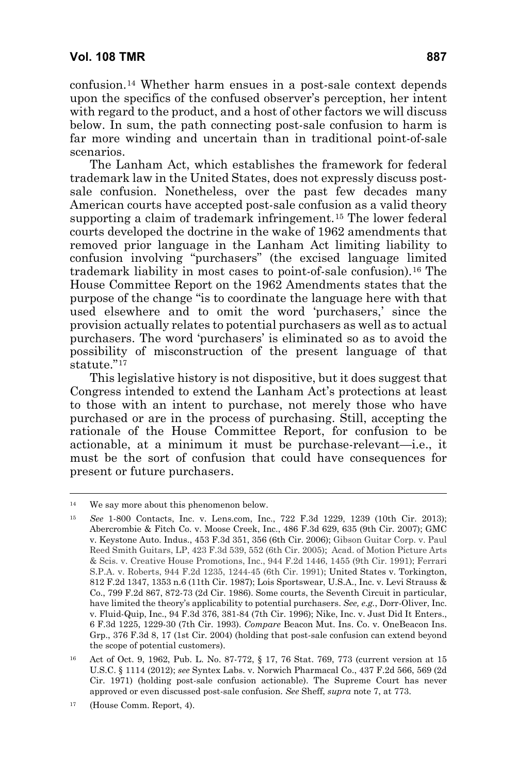confusion.[14](#page-8-0) Whether harm ensues in a post-sale context depends upon the specifics of the confused observer's perception, her intent with regard to the product, and a host of other factors we will discuss below. In sum, the path connecting post-sale confusion to harm is far more winding and uncertain than in traditional point-of-sale scenarios.

The Lanham Act, which establishes the framework for federal trademark law in the United States, does not expressly discuss postsale confusion. Nonetheless, over the past few decades many American courts have accepted post-sale confusion as a valid theory supporting a claim of trademark infringement.[15](#page-8-1) The lower federal courts developed the doctrine in the wake of 1962 amendments that removed prior language in the Lanham Act limiting liability to confusion involving "purchasers" (the excised language limited trademark liability in most cases to point-of-sale confusion).[16](#page-8-2) The House Committee Report on the 1962 Amendments states that the purpose of the change "is to coordinate the language here with that used elsewhere and to omit the word 'purchasers,' since the provision actually relates to potential purchasers as well as to actual purchasers. The word 'purchasers' is eliminated so as to avoid the possibility of misconstruction of the present language of that statute."[17](#page-8-3)

This legislative history is not dispositive, but it does suggest that Congress intended to extend the Lanham Act's protections at least to those with an intent to purchase, not merely those who have purchased or are in the process of purchasing. Still, accepting the rationale of the House Committee Report, for confusion to be actionable, at a minimum it must be purchase-relevant—i.e., it must be the sort of confusion that could have consequences for present or future purchasers.

<span id="page-8-0"></span><sup>&</sup>lt;sup>14</sup> We say more about this phenomenon below.

<span id="page-8-1"></span><sup>15</sup> *See* 1-800 Contacts, Inc. v. Lens.com, Inc., 722 F.3d 1229, 1239 (10th Cir. 2013); Abercrombie & Fitch Co. v. Moose Creek, Inc., 486 F.3d 629, 635 (9th Cir. 2007); GMC v. Keystone Auto. Indus., 453 F.3d 351, 356 (6th Cir. 2006); Gibson Guitar Corp. v. Paul Reed Smith Guitars, LP, 423 F.3d 539, 552 (6th Cir. 2005); Acad. of Motion Picture Arts & Scis. v. Creative House Promotions, Inc., 944 F.2d 1446, 1455 (9th Cir. 1991); Ferrari S.P.A. v. Roberts, 944 F.2d 1235, 1244-45 (6th Cir. 1991); United States v. Torkington, 812 F.2d 1347, 1353 n.6 (11th Cir. 1987); Lois Sportswear, U.S.A., Inc. v. Levi Strauss & Co., 799 F.2d 867, 872-73 (2d Cir. 1986). Some courts, the Seventh Circuit in particular, have limited the theory's applicability to potential purchasers. *See, e.g.*, Dorr-Oliver, Inc. v. Fluid-Quip, Inc., 94 F.3d 376, 381-84 (7th Cir. 1996); Nike, Inc. v. Just Did It Enters., 6 F.3d 1225, 1229-30 (7th Cir. 1993). *Compare* Beacon Mut. Ins. Co. v. OneBeacon Ins. Grp., 376 F.3d 8, 17 (1st Cir. 2004) (holding that post-sale confusion can extend beyond the scope of potential customers).

<span id="page-8-2"></span><sup>16</sup> Act of Oct. 9, 1962, Pub. L. No. 87-772, § 17, 76 Stat. 769, 773 (current version at 15 U.S.C. § 1114 (2012); *see* Syntex Labs. v. Norwich Pharmacal Co., 437 F.2d 566, 569 (2d Cir. 1971) (holding post-sale confusion actionable). The Supreme Court has never approved or even discussed post-sale confusion. *See* Sheff, *supra* note 7, at 773.

<span id="page-8-3"></span><sup>17</sup> (House Comm. Report, 4).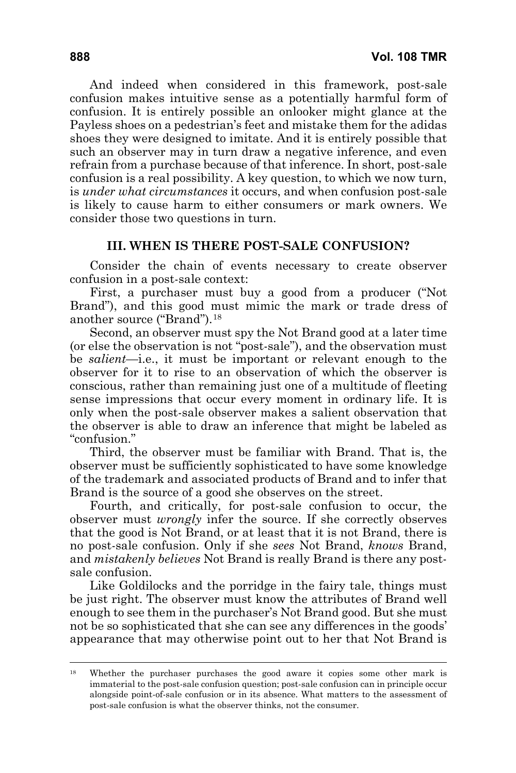And indeed when considered in this framework, post-sale confusion makes intuitive sense as a potentially harmful form of confusion. It is entirely possible an onlooker might glance at the Payless shoes on a pedestrian's feet and mistake them for the adidas shoes they were designed to imitate. And it is entirely possible that such an observer may in turn draw a negative inference, and even refrain from a purchase because of that inference. In short, post-sale confusion is a real possibility. A key question, to which we now turn, is *under what circumstances* it occurs, and when confusion post-sale is likely to cause harm to either consumers or mark owners. We consider those two questions in turn.

#### **III. WHEN IS THERE POST-SALE CONFUSION?**

Consider the chain of events necessary to create observer confusion in a post-sale context:

First, a purchaser must buy a good from a producer ("Not Brand"), and this good must mimic the mark or trade dress of another source ("Brand").[18](#page-9-0)

Second, an observer must spy the Not Brand good at a later time (or else the observation is not "post-sale"), and the observation must be *salient*—i.e., it must be important or relevant enough to the observer for it to rise to an observation of which the observer is conscious, rather than remaining just one of a multitude of fleeting sense impressions that occur every moment in ordinary life. It is only when the post-sale observer makes a salient observation that the observer is able to draw an inference that might be labeled as "confusion."

Third, the observer must be familiar with Brand. That is, the observer must be sufficiently sophisticated to have some knowledge of the trademark and associated products of Brand and to infer that Brand is the source of a good she observes on the street.

Fourth, and critically, for post-sale confusion to occur, the observer must *wrongly* infer the source. If she correctly observes that the good is Not Brand, or at least that it is not Brand, there is no post-sale confusion. Only if she *sees* Not Brand, *knows* Brand, and *mistakenly believes* Not Brand is really Brand is there any postsale confusion.

Like Goldilocks and the porridge in the fairy tale, things must be just right. The observer must know the attributes of Brand well enough to see them in the purchaser's Not Brand good. But she must not be so sophisticated that she can see any differences in the goods' appearance that may otherwise point out to her that Not Brand is

<span id="page-9-0"></span><sup>&</sup>lt;sup>18</sup> Whether the purchaser purchases the good aware it copies some other mark is immaterial to the post-sale confusion question; post-sale confusion can in principle occur alongside point-of-sale confusion or in its absence. What matters to the assessment of post-sale confusion is what the observer thinks, not the consumer.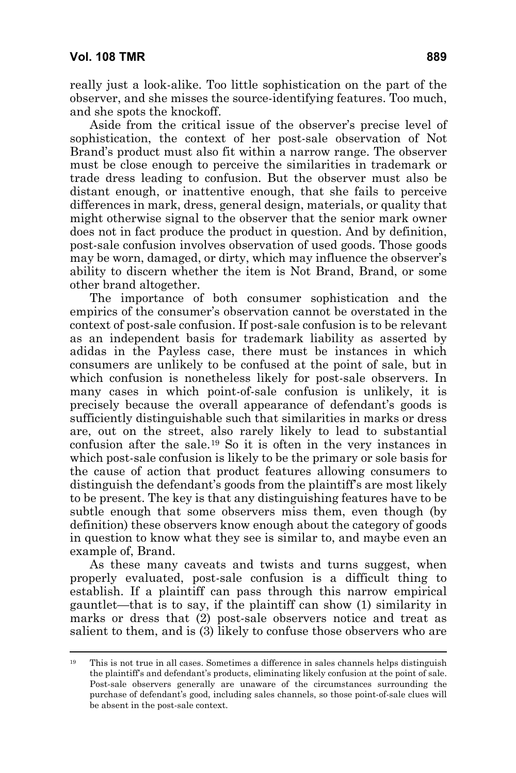really just a look-alike. Too little sophistication on the part of the observer, and she misses the source-identifying features. Too much, and she spots the knockoff.

Aside from the critical issue of the observer's precise level of sophistication, the context of her post-sale observation of Not Brand's product must also fit within a narrow range. The observer must be close enough to perceive the similarities in trademark or trade dress leading to confusion. But the observer must also be distant enough, or inattentive enough, that she fails to perceive differences in mark, dress, general design, materials, or quality that might otherwise signal to the observer that the senior mark owner does not in fact produce the product in question. And by definition, post-sale confusion involves observation of used goods. Those goods may be worn, damaged, or dirty, which may influence the observer's ability to discern whether the item is Not Brand, Brand, or some other brand altogether.

The importance of both consumer sophistication and the empirics of the consumer's observation cannot be overstated in the context of post-sale confusion. If post-sale confusion is to be relevant as an independent basis for trademark liability as asserted by adidas in the Payless case, there must be instances in which consumers are unlikely to be confused at the point of sale, but in which confusion is nonetheless likely for post-sale observers. In many cases in which point-of-sale confusion is unlikely, it is precisely because the overall appearance of defendant's goods is sufficiently distinguishable such that similarities in marks or dress are, out on the street, also rarely likely to lead to substantial confusion after the sale.[19](#page-10-0) So it is often in the very instances in which post-sale confusion is likely to be the primary or sole basis for the cause of action that product features allowing consumers to distinguish the defendant's goods from the plaintiff's are most likely to be present. The key is that any distinguishing features have to be subtle enough that some observers miss them, even though (by definition) these observers know enough about the category of goods in question to know what they see is similar to, and maybe even an example of, Brand.

As these many caveats and twists and turns suggest, when properly evaluated, post-sale confusion is a difficult thing to establish. If a plaintiff can pass through this narrow empirical gauntlet—that is to say, if the plaintiff can show (1) similarity in marks or dress that (2) post-sale observers notice and treat as salient to them, and is (3) likely to confuse those observers who are

<span id="page-10-0"></span><sup>19</sup> This is not true in all cases. Sometimes a difference in sales channels helps distinguish the plaintiff's and defendant's products, eliminating likely confusion at the point of sale. Post-sale observers generally are unaware of the circumstances surrounding the purchase of defendant's good, including sales channels, so those point-of-sale clues will be absent in the post-sale context.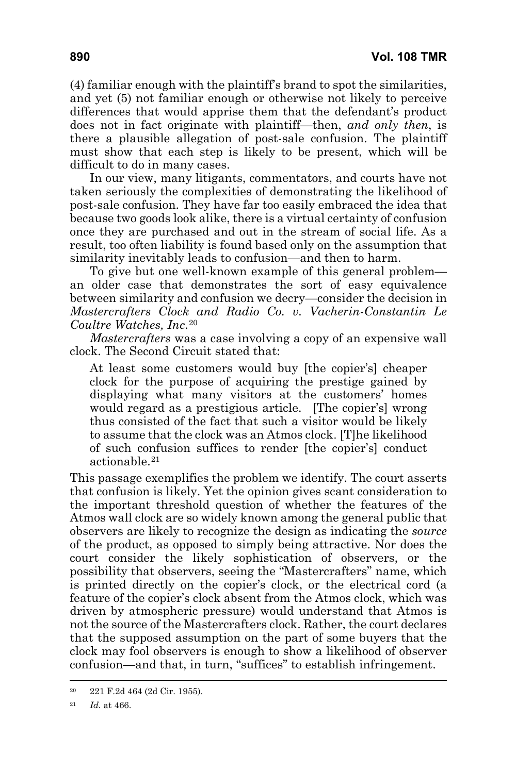(4) familiar enough with the plaintiff's brand to spot the similarities, and yet (5) not familiar enough or otherwise not likely to perceive differences that would apprise them that the defendant's product does not in fact originate with plaintiff—then, *and only then*, is there a plausible allegation of post-sale confusion. The plaintiff must show that each step is likely to be present, which will be difficult to do in many cases.

In our view, many litigants, commentators, and courts have not taken seriously the complexities of demonstrating the likelihood of post-sale confusion. They have far too easily embraced the idea that because two goods look alike, there is a virtual certainty of confusion once they are purchased and out in the stream of social life. As a result, too often liability is found based only on the assumption that similarity inevitably leads to confusion—and then to harm.

To give but one well-known example of this general problem an older case that demonstrates the sort of easy equivalence between similarity and confusion we decry—consider the decision in *Mastercrafters Clock and Radio Co. v. Vacherin-Constantin Le Coultre Watches, Inc*.[20](#page-11-0)

*Mastercrafters* was a case involving a copy of an expensive wall clock. The Second Circuit stated that:

At least some customers would buy [the copier's] cheaper clock for the purpose of acquiring the prestige gained by displaying what many visitors at the customers' homes would regard as a prestigious article. [The copier's] wrong thus consisted of the fact that such a visitor would be likely to assume that the clock was an Atmos clock․ [T]he likelihood of such confusion suffices to render [the copier's] conduct actionable.[21](#page-11-1)

This passage exemplifies the problem we identify. The court asserts that confusion is likely. Yet the opinion gives scant consideration to the important threshold question of whether the features of the Atmos wall clock are so widely known among the general public that observers are likely to recognize the design as indicating the *source* of the product, as opposed to simply being attractive. Nor does the court consider the likely sophistication of observers, or the possibility that observers, seeing the "Mastercrafters" name, which is printed directly on the copier's clock, or the electrical cord (a feature of the copier's clock absent from the Atmos clock, which was driven by atmospheric pressure) would understand that Atmos is not the source of the Mastercrafters clock. Rather, the court declares that the supposed assumption on the part of some buyers that the clock may fool observers is enough to show a likelihood of observer confusion—and that, in turn, "suffices" to establish infringement.

<span id="page-11-1"></span><span id="page-11-0"></span><sup>20</sup> 221 F.2d 464 (2d Cir. 1955).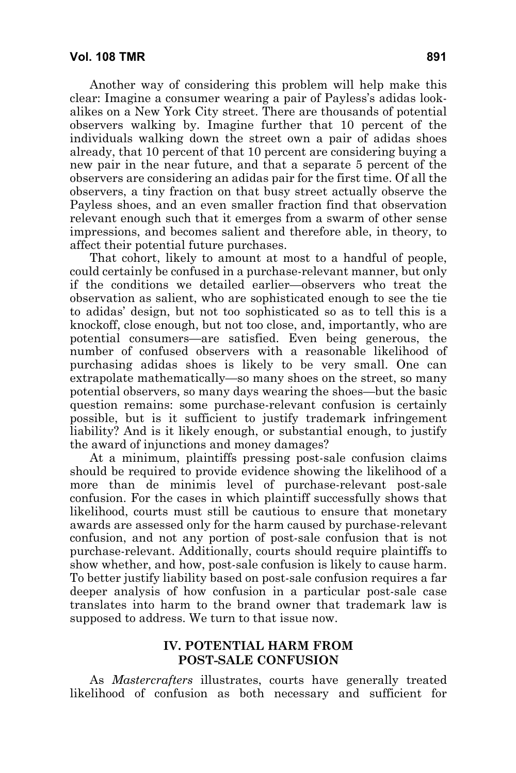Another way of considering this problem will help make this clear: Imagine a consumer wearing a pair of Payless's adidas lookalikes on a New York City street. There are thousands of potential observers walking by. Imagine further that 10 percent of the individuals walking down the street own a pair of adidas shoes already, that 10 percent of that 10 percent are considering buying a new pair in the near future, and that a separate 5 percent of the observers are considering an adidas pair for the first time. Of all the observers, a tiny fraction on that busy street actually observe the Payless shoes, and an even smaller fraction find that observation relevant enough such that it emerges from a swarm of other sense impressions, and becomes salient and therefore able, in theory, to affect their potential future purchases.

That cohort, likely to amount at most to a handful of people, could certainly be confused in a purchase-relevant manner, but only if the conditions we detailed earlier—observers who treat the observation as salient, who are sophisticated enough to see the tie to adidas' design, but not too sophisticated so as to tell this is a knockoff, close enough, but not too close, and, importantly, who are potential consumers—are satisfied. Even being generous, the number of confused observers with a reasonable likelihood of purchasing adidas shoes is likely to be very small. One can extrapolate mathematically—so many shoes on the street, so many potential observers, so many days wearing the shoes—but the basic question remains: some purchase-relevant confusion is certainly possible, but is it sufficient to justify trademark infringement liability? And is it likely enough, or substantial enough, to justify the award of injunctions and money damages?

At a minimum, plaintiffs pressing post-sale confusion claims should be required to provide evidence showing the likelihood of a more than de minimis level of purchase-relevant post-sale confusion. For the cases in which plaintiff successfully shows that likelihood, courts must still be cautious to ensure that monetary awards are assessed only for the harm caused by purchase-relevant confusion, and not any portion of post-sale confusion that is not purchase-relevant. Additionally, courts should require plaintiffs to show whether, and how, post-sale confusion is likely to cause harm. To better justify liability based on post-sale confusion requires a far deeper analysis of how confusion in a particular post-sale case translates into harm to the brand owner that trademark law is supposed to address. We turn to that issue now.

## **IV. POTENTIAL HARM FROM POST-SALE CONFUSION**

As *Mastercrafters* illustrates, courts have generally treated likelihood of confusion as both necessary and sufficient for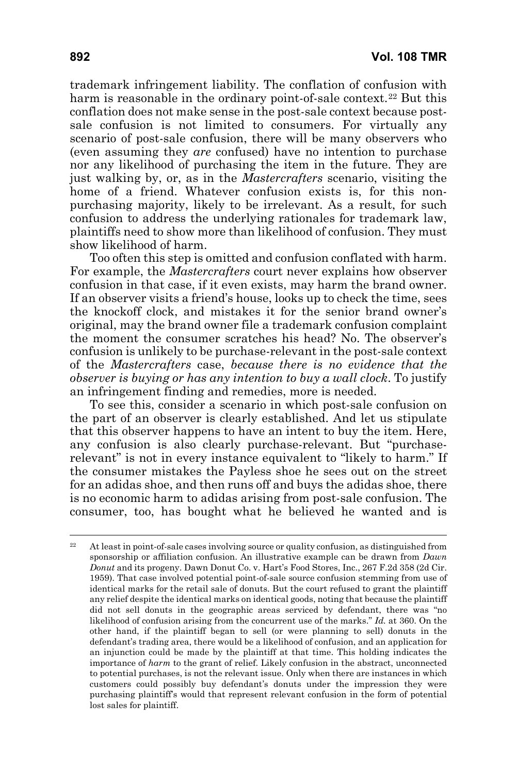trademark infringement liability. The conflation of confusion with harm is reasonable in the ordinary point-of-sale context.<sup>[22](#page-13-0)</sup> But this conflation does not make sense in the post-sale context because postsale confusion is not limited to consumers. For virtually any scenario of post-sale confusion, there will be many observers who (even assuming they *are* confused) have no intention to purchase nor any likelihood of purchasing the item in the future. They are just walking by, or, as in the *Mastercrafters* scenario, visiting the home of a friend. Whatever confusion exists is, for this nonpurchasing majority, likely to be irrelevant. As a result, for such confusion to address the underlying rationales for trademark law, plaintiffs need to show more than likelihood of confusion. They must show likelihood of harm.

Too often this step is omitted and confusion conflated with harm. For example, the *Mastercrafters* court never explains how observer confusion in that case, if it even exists, may harm the brand owner. If an observer visits a friend's house, looks up to check the time, sees the knockoff clock, and mistakes it for the senior brand owner's original, may the brand owner file a trademark confusion complaint the moment the consumer scratches his head? No. The observer's confusion is unlikely to be purchase-relevant in the post-sale context of the *Mastercrafters* case, *because there is no evidence that the observer is buying or has any intention to buy a wall clock*. To justify an infringement finding and remedies, more is needed.

To see this, consider a scenario in which post-sale confusion on the part of an observer is clearly established. And let us stipulate that this observer happens to have an intent to buy the item. Here, any confusion is also clearly purchase-relevant. But "purchaserelevant" is not in every instance equivalent to "likely to harm." If the consumer mistakes the Payless shoe he sees out on the street for an adidas shoe, and then runs off and buys the adidas shoe, there is no economic harm to adidas arising from post-sale confusion. The consumer, too, has bought what he believed he wanted and is

<span id="page-13-0"></span><sup>&</sup>lt;sup>22</sup> At least in point-of-sale cases involving source or quality confusion, as distinguished from sponsorship or affiliation confusion. An illustrative example can be drawn from *Dawn Donut* and its progeny. Dawn Donut Co. v. Hart's Food Stores, Inc., 267 F.2d 358 (2d Cir. 1959). That case involved potential point-of-sale source confusion stemming from use of identical marks for the retail sale of donuts. But the court refused to grant the plaintiff any relief despite the identical marks on identical goods, noting that because the plaintiff did not sell donuts in the geographic areas serviced by defendant, there was "no likelihood of confusion arising from the concurrent use of the marks." *Id.* at 360. On the other hand, if the plaintiff began to sell (or were planning to sell) donuts in the defendant's trading area, there would be a likelihood of confusion, and an application for an injunction could be made by the plaintiff at that time. This holding indicates the importance of *harm* to the grant of relief. Likely confusion in the abstract, unconnected to potential purchases, is not the relevant issue. Only when there are instances in which customers could possibly buy defendant's donuts under the impression they were purchasing plaintiff's would that represent relevant confusion in the form of potential lost sales for plaintiff.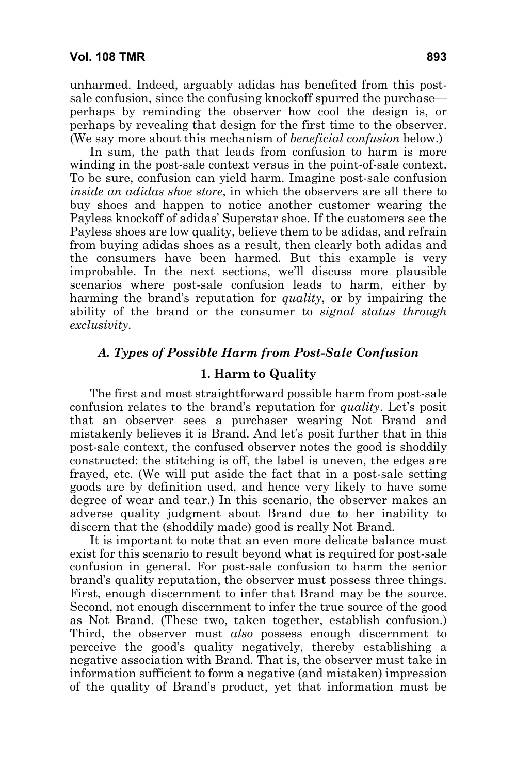unharmed. Indeed, arguably adidas has benefited from this postsale confusion, since the confusing knockoff spurred the purchase perhaps by reminding the observer how cool the design is, or perhaps by revealing that design for the first time to the observer. (We say more about this mechanism of *beneficial confusion* below.)

In sum, the path that leads from confusion to harm is more winding in the post-sale context versus in the point-of-sale context. To be sure, confusion can yield harm. Imagine post-sale confusion *inside an adidas shoe store*, in which the observers are all there to buy shoes and happen to notice another customer wearing the Payless knockoff of adidas' Superstar shoe. If the customers see the Payless shoes are low quality, believe them to be adidas, and refrain from buying adidas shoes as a result, then clearly both adidas and the consumers have been harmed. But this example is very improbable. In the next sections, we'll discuss more plausible scenarios where post-sale confusion leads to harm, either by harming the brand's reputation for *quality*, or by impairing the ability of the brand or the consumer to *signal status through exclusivity.* 

### *A. Types of Possible Harm from Post-Sale Confusion*

#### **1. Harm to Quality**

The first and most straightforward possible harm from post-sale confusion relates to the brand's reputation for *quality*. Let's posit that an observer sees a purchaser wearing Not Brand and mistakenly believes it is Brand. And let's posit further that in this post-sale context, the confused observer notes the good is shoddily constructed: the stitching is off, the label is uneven, the edges are frayed, etc. (We will put aside the fact that in a post-sale setting goods are by definition used, and hence very likely to have some degree of wear and tear.) In this scenario, the observer makes an adverse quality judgment about Brand due to her inability to discern that the (shoddily made) good is really Not Brand.

It is important to note that an even more delicate balance must exist for this scenario to result beyond what is required for post-sale confusion in general. For post-sale confusion to harm the senior brand's quality reputation, the observer must possess three things. First, enough discernment to infer that Brand may be the source. Second, not enough discernment to infer the true source of the good as Not Brand. (These two, taken together, establish confusion.) Third, the observer must *also* possess enough discernment to perceive the good's quality negatively, thereby establishing a negative association with Brand. That is, the observer must take in information sufficient to form a negative (and mistaken) impression of the quality of Brand's product, yet that information must be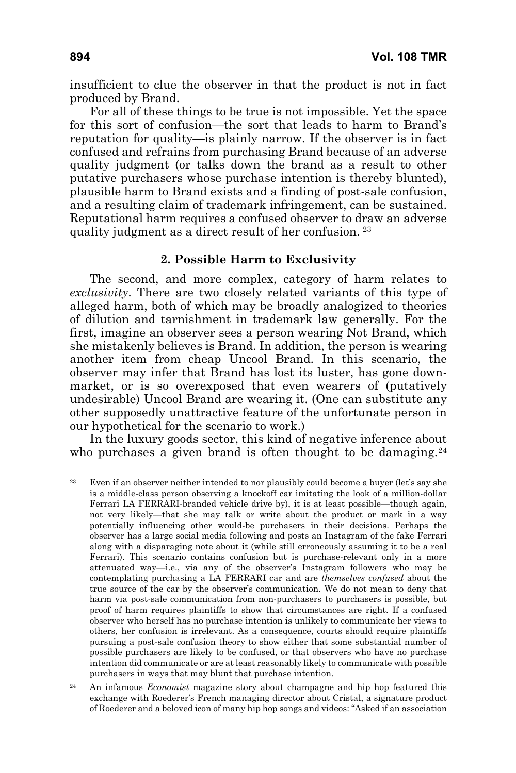insufficient to clue the observer in that the product is not in fact produced by Brand.

For all of these things to be true is not impossible. Yet the space for this sort of confusion—the sort that leads to harm to Brand's reputation for quality—is plainly narrow. If the observer is in fact confused and refrains from purchasing Brand because of an adverse quality judgment (or talks down the brand as a result to other putative purchasers whose purchase intention is thereby blunted), plausible harm to Brand exists and a finding of post-sale confusion, and a resulting claim of trademark infringement, can be sustained. Reputational harm requires a confused observer to draw an adverse quality judgment as a direct result of her confusion. [23](#page-15-0)

#### **2. Possible Harm to Exclusivity**

The second, and more complex, category of harm relates to *exclusivity*. There are two closely related variants of this type of alleged harm, both of which may be broadly analogized to theories of dilution and tarnishment in trademark law generally. For the first, imagine an observer sees a person wearing Not Brand, which she mistakenly believes is Brand. In addition, the person is wearing another item from cheap Uncool Brand. In this scenario, the observer may infer that Brand has lost its luster, has gone downmarket, or is so overexposed that even wearers of (putatively undesirable) Uncool Brand are wearing it. (One can substitute any other supposedly unattractive feature of the unfortunate person in our hypothetical for the scenario to work.)

In the luxury goods sector, this kind of negative inference about who purchases a given brand is often thought to be damaging.<sup>[24](#page-15-1)</sup>

<span id="page-15-0"></span><sup>&</sup>lt;sup>23</sup> Even if an observer neither intended to nor plausibly could become a buyer (let's say she is a middle-class person observing a knockoff car imitating the look of a million-dollar Ferrari LA FERRARI-branded vehicle drive by), it is at least possible—though again, not very likely—that she may talk or write about the product or mark in a way potentially influencing other would-be purchasers in their decisions. Perhaps the observer has a large social media following and posts an Instagram of the fake Ferrari along with a disparaging note about it (while still erroneously assuming it to be a real Ferrari). This scenario contains confusion but is purchase-relevant only in a more attenuated way—i.e., via any of the observer's Instagram followers who may be contemplating purchasing a LA FERRARI car and are *themselves confused* about the true source of the car by the observer's communication. We do not mean to deny that harm via post-sale communication from non-purchasers to purchasers is possible, but proof of harm requires plaintiffs to show that circumstances are right. If a confused observer who herself has no purchase intention is unlikely to communicate her views to others, her confusion is irrelevant. As a consequence, courts should require plaintiffs pursuing a post-sale confusion theory to show either that some substantial number of possible purchasers are likely to be confused, or that observers who have no purchase intention did communicate or are at least reasonably likely to communicate with possible purchasers in ways that may blunt that purchase intention.

<span id="page-15-1"></span><sup>24</sup> An infamous *Economist* magazine story about champagne and hip hop featured this exchange with Roederer's French managing director about Cristal, a signature product of Roederer and a beloved icon of many hip hop songs and videos: "Asked if an association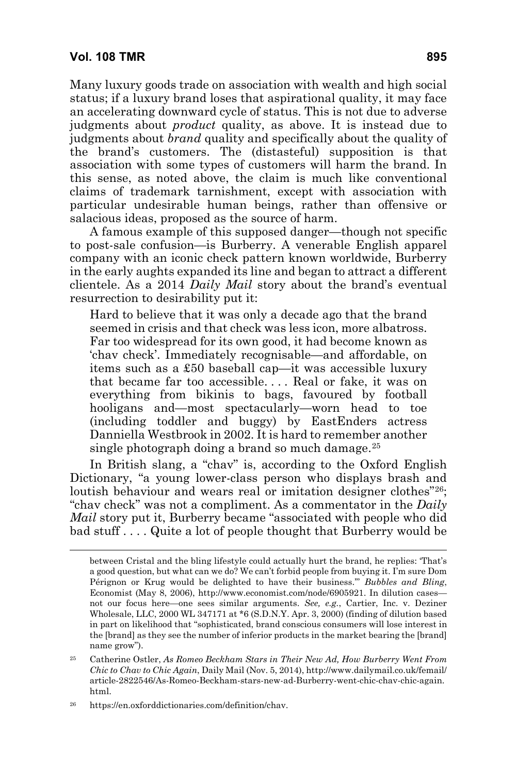Many luxury goods trade on association with wealth and high social status; if a luxury brand loses that aspirational quality, it may face an accelerating downward cycle of status. This is not due to adverse judgments about *product* quality, as above. It is instead due to judgments about *brand* quality and specifically about the quality of the brand's customers. The (distasteful) supposition is that association with some types of customers will harm the brand. In this sense, as noted above, the claim is much like conventional claims of trademark tarnishment, except with association with particular undesirable human beings, rather than offensive or salacious ideas, proposed as the source of harm.

A famous example of this supposed danger—though not specific to post-sale confusion—is Burberry. A venerable English apparel company with an iconic check pattern known worldwide, Burberry in the early aughts expanded its line and began to attract a different clientele. As a 2014 *Daily Mail* story about the brand's eventual resurrection to desirability put it:

Hard to believe that it was only a decade ago that the brand seemed in crisis and that check was less icon, more albatross. Far too widespread for its own good, it had become known as 'chav check'. Immediately recognisable—and affordable, on items such as a £50 baseball cap—it was accessible luxury that became far too accessible. . . . Real or fake, it was on everything from bikinis to bags, favoured by football hooligans and—most spectacularly—worn head to toe (including toddler and buggy) by EastEnders actress Danniella Westbrook in 2002. It is hard to remember another single photograph doing a brand so much damage. $25$ 

In British slang, a "chav" is, according to the Oxford English Dictionary, "a young lower-class person who displays brash and loutish behaviour and wears real or imitation designer clothes["26](#page-16-1); "chav check" was not a compliment. As a commentator in the *Daily Mail* story put it, Burberry became "associated with people who did bad stuff . . . . Quite a lot of people thought that Burberry would be

between Cristal and the bling lifestyle could actually hurt the brand, he replies: 'That's a good question, but what can we do? We can't forbid people from buying it. I'm sure Dom Pérignon or Krug would be delighted to have their business.'" *Bubbles and Bling*, Economist (May 8, 2006), http://www.economist.com/node/6905921. In dilution cases not our focus here—one sees similar arguments. *See, e.g.*, Cartier, Inc. v. Deziner Wholesale, LLC, 2000 WL 347171 at \*6 (S.D.N.Y. Apr. 3, 2000) (finding of dilution based in part on likelihood that "sophisticated, brand conscious consumers will lose interest in the [brand] as they see the number of inferior products in the market bearing the [brand] name grow").

<span id="page-16-0"></span><sup>25</sup> Catherine Ostler, *As Romeo Beckham Stars in Their New Ad, How Burberry Went From Chic to Chav to Chic Again*, Daily Mail (Nov. 5, 2014), [http://www.dailymail.co.uk/femail/](http://www.dailymail.co.uk/femail/article-2822546/As-Romeo-Beckham-stars-new-ad-Burberry-went-chic-chav-chic-again.html) [article-2822546/As-Romeo-Beckham-stars-new-ad-Burberry-went-chic-chav-chic-agai](http://www.dailymail.co.uk/femail/article-2822546/As-Romeo-Beckham-stars-new-ad-Burberry-went-chic-chav-chic-again.html)n. html.

<span id="page-16-1"></span><sup>26</sup> https://en.oxforddictionaries.com/definition/chav.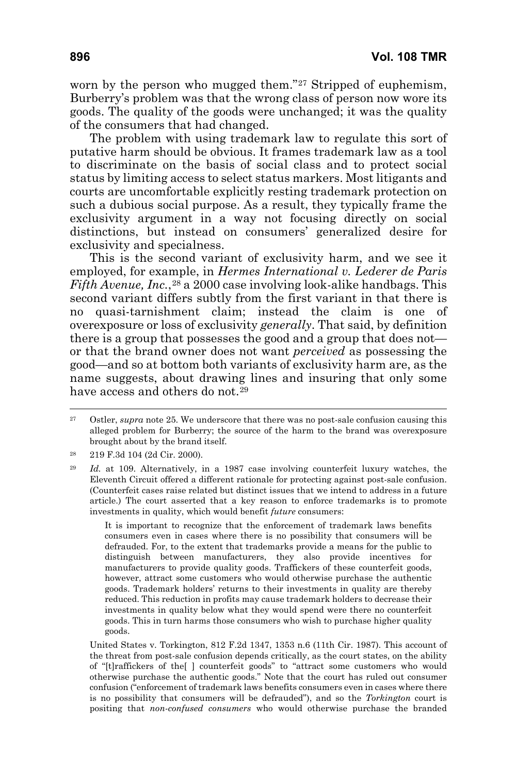worn by the person who mugged them."<sup>[27](#page-17-0)</sup> Stripped of euphemism, Burberry's problem was that the wrong class of person now wore its goods. The quality of the goods were unchanged; it was the quality of the consumers that had changed.

The problem with using trademark law to regulate this sort of putative harm should be obvious. It frames trademark law as a tool to discriminate on the basis of social class and to protect social status by limiting access to select status markers. Most litigants and courts are uncomfortable explicitly resting trademark protection on such a dubious social purpose. As a result, they typically frame the exclusivity argument in a way not focusing directly on social distinctions, but instead on consumers' generalized desire for exclusivity and specialness.

This is the second variant of exclusivity harm, and we see it employed, for example, in *Hermes International v. Lederer de Paris Fifth Avenue, Inc.*,<sup>[28](#page-17-1)</sup> a 2000 case involving look-alike handbags. This second variant differs subtly from the first variant in that there is no quasi-tarnishment claim; instead the claim is one of overexposure or loss of exclusivity *generally*. That said, by definition there is a group that possesses the good and a group that does not or that the brand owner does not want *perceived* as possessing the good—and so at bottom both variants of exclusivity harm are, as the name suggests, about drawing lines and insuring that only some have access and others do not.<sup>[29](#page-17-2)</sup>

It is important to recognize that the enforcement of trademark laws benefits consumers even in cases where there is no possibility that consumers will be defrauded. For, to the extent that trademarks provide a means for the public to distinguish between manufacturers, they also provide incentives for manufacturers to provide quality goods. Traffickers of these counterfeit goods, however, attract some customers who would otherwise purchase the authentic goods. Trademark holders' returns to their investments in quality are thereby reduced. This reduction in profits may cause trademark holders to decrease their investments in quality below what they would spend were there no counterfeit goods. This in turn harms those consumers who wish to purchase higher quality goods.

United States v. Torkington, 812 F.2d 1347, 1353 n.6 (11th Cir. 1987). This account of the threat from post-sale confusion depends critically, as the court states, on the ability of "[t]raffickers of the[ ] counterfeit goods" to "attract some customers who would otherwise purchase the authentic goods." Note that the court has ruled out consumer confusion ("enforcement of trademark laws benefits consumers even in cases where there is no possibility that consumers will be defrauded"), and so the *Torkington* court is positing that *non-confused consumers* who would otherwise purchase the branded

<span id="page-17-0"></span><sup>&</sup>lt;sup>27</sup> Ostler, *supra* note 25. We underscore that there was no post-sale confusion causing this alleged problem for Burberry; the source of the harm to the brand was overexposure brought about by the brand itself.

<span id="page-17-1"></span><sup>28</sup> 219 F.3d 104 (2d Cir. 2000).

<span id="page-17-2"></span><sup>29</sup> *Id.* at 109. Alternatively, in a 1987 case involving counterfeit luxury watches, the Eleventh Circuit offered a different rationale for protecting against post-sale confusion. (Counterfeit cases raise related but distinct issues that we intend to address in a future article.) The court asserted that a key reason to enforce trademarks is to promote investments in quality, which would benefit *future* consumers: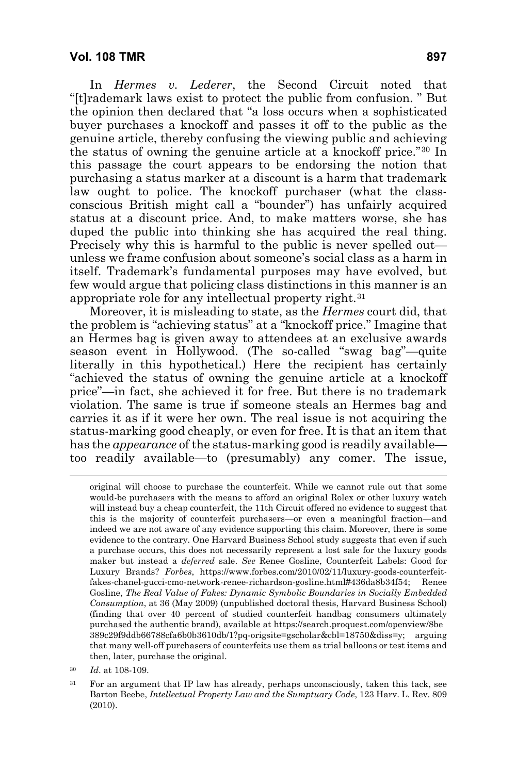In *Hermes v. Lederer*, the Second Circuit noted that "[t]rademark laws exist to protect the public from confusion. " But the opinion then declared that "a loss occurs when a sophisticated buyer purchases a knockoff and passes it off to the public as the genuine article, thereby confusing the viewing public and achieving the status of owning the genuine article at a knockoff price."[30](#page-18-0) In this passage the court appears to be endorsing the notion that purchasing a status marker at a discount is a harm that trademark law ought to police. The knockoff purchaser (what the classconscious British might call a "bounder") has unfairly acquired status at a discount price. And, to make matters worse, she has duped the public into thinking she has acquired the real thing. Precisely why this is harmful to the public is never spelled out unless we frame confusion about someone's social class as a harm in itself. Trademark's fundamental purposes may have evolved, but few would argue that policing class distinctions in this manner is an appropriate role for any intellectual property right.[31](#page-18-1)

Moreover, it is misleading to state, as the *Hermes* court did, that the problem is "achieving status" at a "knockoff price." Imagine that an Hermes bag is given away to attendees at an exclusive awards season event in Hollywood. (The so-called "swag bag"—quite literally in this hypothetical.) Here the recipient has certainly "achieved the status of owning the genuine article at a knockoff price"—in fact, she achieved it for free. But there is no trademark violation. The same is true if someone steals an Hermes bag and carries it as if it were her own. The real issue is not acquiring the status-marking good cheaply, or even for free. It is that an item that has the *appearance* of the status-marking good is readily available too readily available—to (presumably) any comer. The issue,

original will choose to purchase the counterfeit. While we cannot rule out that some would-be purchasers with the means to afford an original Rolex or other luxury watch will instead buy a cheap counterfeit, the 11th Circuit offered no evidence to suggest that this is the majority of counterfeit purchasers—or even a meaningful fraction—and indeed we are not aware of any evidence supporting this claim. Moreover, there is some evidence to the contrary. One Harvard Business School study suggests that even if such a purchase occurs, this does not necessarily represent a lost sale for the luxury goods maker but instead a *deferred* sale. *See* Renee Gosline, Counterfeit Labels: Good for Luxury Brands? *Forbes*, https://www.forbes.com/2010/02/11/luxury-goods-counterfeitfakes-chanel-gucci-cmo-network-renee-richardson-gosline.html#436da8b34f54; Renee Gosline, *The Real Value of Fakes: Dynamic Symbolic Boundaries in Socially Embedded Consumption*, at 36 (May 2009) (unpublished doctoral thesis, Harvard Business School) (finding that over 40 percent of studied counterfeit handbag consumers ultimately purchased the authentic brand), available at https://search.proquest.com/openview/8be 389c29f9ddb66788cfa6b0b3610db/1?pq-origsite=gscholar&cbl=18750&diss=y; arguing that many well-off purchasers of counterfeits use them as trial balloons or test items and then, later, purchase the original.

<span id="page-18-0"></span><sup>30</sup> *Id*. at 108-109.

<span id="page-18-1"></span><sup>&</sup>lt;sup>31</sup> For an argument that IP law has already, perhaps unconsciously, taken this tack, see Barton Beebe, *Intellectual Property Law and the Sumptuary Code*, 123 Harv. L. Rev. 809 (2010).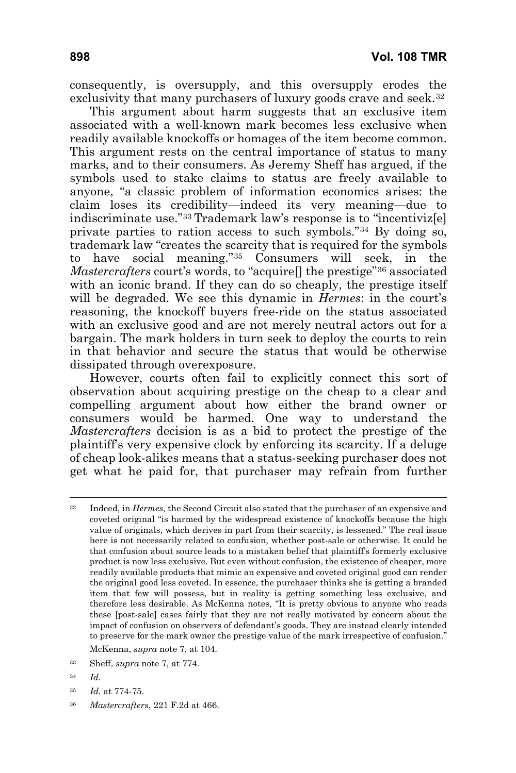consequently, is oversupply, and this oversupply erodes the exclusivity that many purchasers of luxury goods crave and seek.<sup>[32](#page-19-0)</sup>

This argument about harm suggests that an exclusive item associated with a well-known mark becomes less exclusive when readily available knockoffs or homages of the item become common. This argument rests on the central importance of status to many marks, and to their consumers. As Jeremy Sheff has argued, if the symbols used to stake claims to status are freely available to anyone, "a classic problem of information economics arises: the claim loses its credibility—indeed its very meaning—due to indiscriminate use."[33](#page-19-1) Trademark law's response is to "incentiviz[e] private parties to ration access to such symbols."[34](#page-19-2) By doing so, trademark law "creates the scarcity that is required for the symbols to have social meaning."[35](#page-19-3) Consumers will seek, in the *Mastercrafters* court's words, to "acquire[] the prestige"[36](#page-19-4) associated with an iconic brand. If they can do so cheaply, the prestige itself will be degraded. We see this dynamic in *Hermes*: in the court's reasoning, the knockoff buyers free-ride on the status associated with an exclusive good and are not merely neutral actors out for a bargain. The mark holders in turn seek to deploy the courts to rein in that behavior and secure the status that would be otherwise dissipated through overexposure.

However, courts often fail to explicitly connect this sort of observation about acquiring prestige on the cheap to a clear and compelling argument about how either the brand owner or consumers would be harmed. One way to understand the *Mastercrafters* decision is as a bid to protect the prestige of the plaintiff's very expensive clock by enforcing its scarcity. If a deluge of cheap look-alikes means that a status-seeking purchaser does not get what he paid for, that purchaser may refrain from further

McKenna, *supra* note 7, at 104.

- <span id="page-19-3"></span><sup>35</sup> *Id.* at 774-75.
- <span id="page-19-4"></span><sup>36</sup> *Mastercrafters*, 221 F.2d at 466.

<span id="page-19-0"></span><sup>32</sup> Indeed, in *Hermes,* the Second Circuit also stated that the purchaser of an expensive and coveted original "is harmed by the widespread existence of knockoffs because the high value of originals, which derives in part from their scarcity, is lessened." The real issue here is not necessarily related to confusion, whether post-sale or otherwise. It could be that confusion about source leads to a mistaken belief that plaintiff's formerly exclusive product is now less exclusive. But even without confusion, the existence of cheaper, more readily available products that mimic an expensive and coveted original good can render the original good less coveted. In essence, the purchaser thinks she is getting a branded item that few will possess, but in reality is getting something less exclusive, and therefore less desirable. As McKenna notes, "It is pretty obvious to anyone who reads these [post-sale] cases fairly that they are not really motivated by concern about the impact of confusion on observers of defendant's goods. They are instead clearly intended to preserve for the mark owner the prestige value of the mark irrespective of confusion."

<span id="page-19-1"></span><sup>33</sup> Sheff, *supra* note 7, at 774.

<span id="page-19-2"></span><sup>34</sup> *Id.*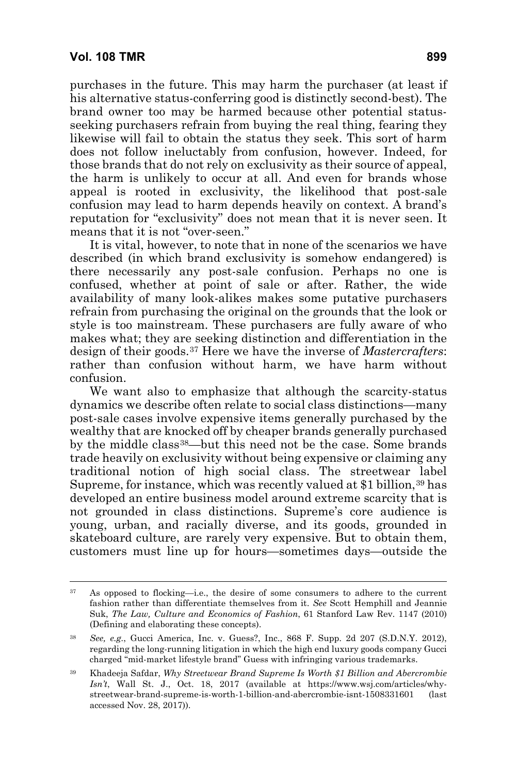purchases in the future. This may harm the purchaser (at least if his alternative status-conferring good is distinctly second-best). The brand owner too may be harmed because other potential statusseeking purchasers refrain from buying the real thing, fearing they likewise will fail to obtain the status they seek. This sort of harm does not follow ineluctably from confusion, however. Indeed, for those brands that do not rely on exclusivity as their source of appeal, the harm is unlikely to occur at all. And even for brands whose appeal is rooted in exclusivity, the likelihood that post-sale confusion may lead to harm depends heavily on context. A brand's reputation for "exclusivity" does not mean that it is never seen. It means that it is not "over-seen."

It is vital, however, to note that in none of the scenarios we have described (in which brand exclusivity is somehow endangered) is there necessarily any post-sale confusion. Perhaps no one is confused, whether at point of sale or after. Rather, the wide availability of many look-alikes makes some putative purchasers refrain from purchasing the original on the grounds that the look or style is too mainstream. These purchasers are fully aware of who makes what; they are seeking distinction and differentiation in the design of their goods.[37](#page-20-0) Here we have the inverse of *Mastercrafters*: rather than confusion without harm, we have harm without confusion.

We want also to emphasize that although the scarcity-status dynamics we describe often relate to social class distinctions—many post-sale cases involve expensive items generally purchased by the wealthy that are knocked off by cheaper brands generally purchased by the middle class<sup>[38](#page-20-1)</sup>—but this need not be the case. Some brands trade heavily on exclusivity without being expensive or claiming any traditional notion of high social class. The streetwear label Supreme, for instance, which was recently valued at \$1 billion,<sup>[39](#page-20-2)</sup> has developed an entire business model around extreme scarcity that is not grounded in class distinctions. Supreme's core audience is young, urban, and racially diverse, and its goods, grounded in skateboard culture, are rarely very expensive. But to obtain them, customers must line up for hours—sometimes days—outside the

<span id="page-20-0"></span><sup>37</sup> As opposed to flocking—i.e., the desire of some consumers to adhere to the current fashion rather than differentiate themselves from it. *See* Scott Hemphill and Jeannie Suk, *The Law, Culture and Economics of Fashion*, 61 Stanford Law Rev. 1147 (2010) (Defining and elaborating these concepts).

<span id="page-20-1"></span><sup>38</sup> *See, e.g.*, Gucci America, Inc. v. Guess?, Inc., 868 F. Supp. 2d 207 (S.D.N.Y. 2012), regarding the long-running litigation in which the high end luxury goods company Gucci charged "mid-market lifestyle brand" Guess with infringing various trademarks.

<span id="page-20-2"></span><sup>39</sup> Khadeeja Safdar, *Why Streetwear Brand Supreme Is Worth \$1 Billion and Abercrombie Isn't*, Wall St. J., Oct. 18, 2017 (available at https://www.wsj.com/articles/whystreetwear-brand-supreme-is-worth-1-billion-and-abercrombie-isnt-1508331601 (last accessed Nov. 28, 2017)).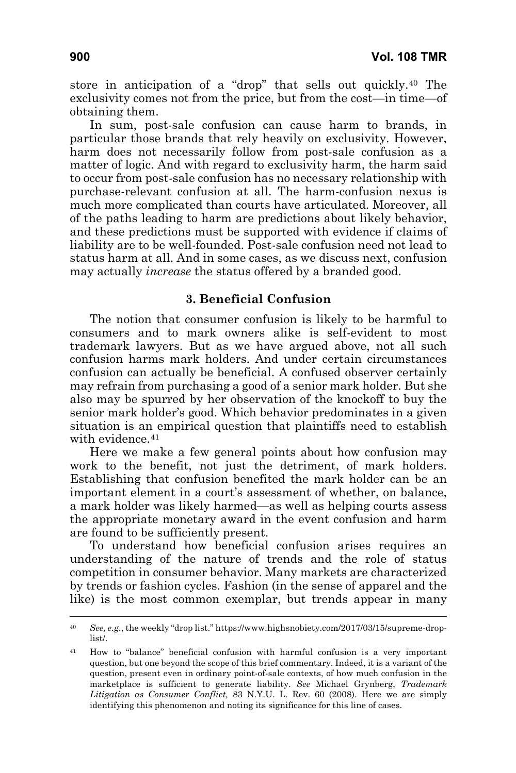store in anticipation of a "drop" that sells out quickly.[40](#page-21-0) The exclusivity comes not from the price, but from the cost—in time—of obtaining them.

In sum, post-sale confusion can cause harm to brands, in particular those brands that rely heavily on exclusivity. However, harm does not necessarily follow from post-sale confusion as a matter of logic. And with regard to exclusivity harm, the harm said to occur from post-sale confusion has no necessary relationship with purchase-relevant confusion at all. The harm-confusion nexus is much more complicated than courts have articulated. Moreover, all of the paths leading to harm are predictions about likely behavior, and these predictions must be supported with evidence if claims of liability are to be well-founded. Post-sale confusion need not lead to status harm at all. And in some cases, as we discuss next, confusion may actually *increase* the status offered by a branded good.

# **3. Beneficial Confusion**

The notion that consumer confusion is likely to be harmful to consumers and to mark owners alike is self-evident to most trademark lawyers. But as we have argued above, not all such confusion harms mark holders. And under certain circumstances confusion can actually be beneficial. A confused observer certainly may refrain from purchasing a good of a senior mark holder. But she also may be spurred by her observation of the knockoff to buy the senior mark holder's good. Which behavior predominates in a given situation is an empirical question that plaintiffs need to establish with evidence.<sup>[41](#page-21-1)</sup>

Here we make a few general points about how confusion may work to the benefit, not just the detriment, of mark holders. Establishing that confusion benefited the mark holder can be an important element in a court's assessment of whether, on balance, a mark holder was likely harmed—as well as helping courts assess the appropriate monetary award in the event confusion and harm are found to be sufficiently present.

To understand how beneficial confusion arises requires an understanding of the nature of trends and the role of status competition in consumer behavior. Many markets are characterized by trends or fashion cycles. Fashion (in the sense of apparel and the like) is the most common exemplar, but trends appear in many

<span id="page-21-0"></span><sup>40</sup> *See, e.g.*, the weekly "drop list." [https://www.highsnobiety.com/2017/03/15/supreme-drop](https://www.highsnobiety.com/2017/03/15/supreme-drop-list/)[list/](https://www.highsnobiety.com/2017/03/15/supreme-drop-list/).

<span id="page-21-1"></span><sup>41</sup> How to "balance" beneficial confusion with harmful confusion is a very important question, but one beyond the scope of this brief commentary. Indeed, it is a variant of the question, present even in ordinary point-of-sale contexts, of how much confusion in the marketplace is sufficient to generate liability. *See* Michael Grynberg, *Trademark Litigation as Consumer Conflict,* 83 N.Y.U. L. Rev. 60 (2008). Here we are simply identifying this phenomenon and noting its significance for this line of cases.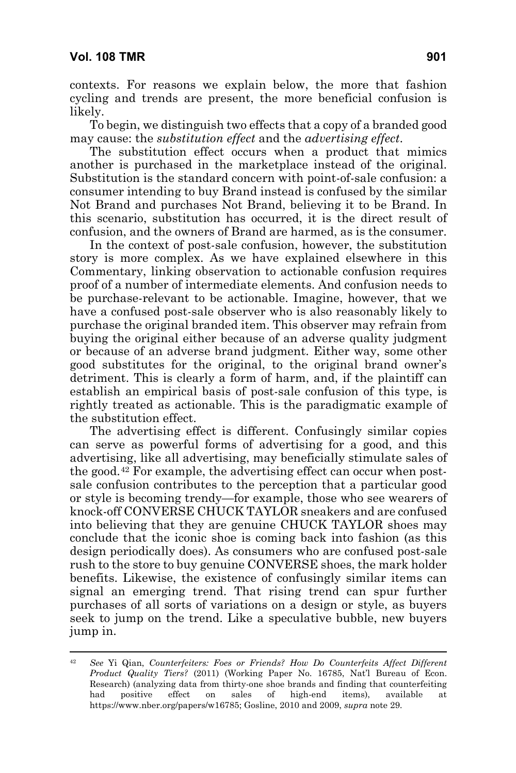contexts. For reasons we explain below, the more that fashion cycling and trends are present, the more beneficial confusion is likely.

To begin, we distinguish two effects that a copy of a branded good may cause: the *substitution effect* and the *advertising effect*.

The substitution effect occurs when a product that mimics another is purchased in the marketplace instead of the original. Substitution is the standard concern with point-of-sale confusion: a consumer intending to buy Brand instead is confused by the similar Not Brand and purchases Not Brand, believing it to be Brand. In this scenario, substitution has occurred, it is the direct result of confusion, and the owners of Brand are harmed, as is the consumer.

In the context of post-sale confusion, however, the substitution story is more complex. As we have explained elsewhere in this Commentary, linking observation to actionable confusion requires proof of a number of intermediate elements. And confusion needs to be purchase-relevant to be actionable. Imagine, however, that we have a confused post-sale observer who is also reasonably likely to purchase the original branded item. This observer may refrain from buying the original either because of an adverse quality judgment or because of an adverse brand judgment. Either way, some other good substitutes for the original, to the original brand owner's detriment. This is clearly a form of harm, and, if the plaintiff can establish an empirical basis of post-sale confusion of this type, is rightly treated as actionable. This is the paradigmatic example of the substitution effect.

The advertising effect is different. Confusingly similar copies can serve as powerful forms of advertising for a good, and this advertising, like all advertising, may beneficially stimulate sales of the good.[42](#page-22-0) For example, the advertising effect can occur when postsale confusion contributes to the perception that a particular good or style is becoming trendy—for example, those who see wearers of knock-off CONVERSE CHUCK TAYLOR sneakers and are confused into believing that they are genuine CHUCK TAYLOR shoes may conclude that the iconic shoe is coming back into fashion (as this design periodically does). As consumers who are confused post-sale rush to the store to buy genuine CONVERSE shoes, the mark holder benefits. Likewise, the existence of confusingly similar items can signal an emerging trend. That rising trend can spur further purchases of all sorts of variations on a design or style, as buyers seek to jump on the trend. Like a speculative bubble, new buyers jump in.

<span id="page-22-0"></span><sup>42</sup> *See* Yi Qian, *Counterfeiters: Foes or Friends? How Do Counterfeits Affect Different Product Quality Tiers?* (2011) (Working Paper No. 16785, Nat'l Bureau of Econ. Research) (analyzing data from thirty-one shoe brands and finding that counterfeiting had positive effect on sales of high-end items), available at https://www.nber.org/papers/w16785; Gosline, 2010 and 2009, *supra* note 29.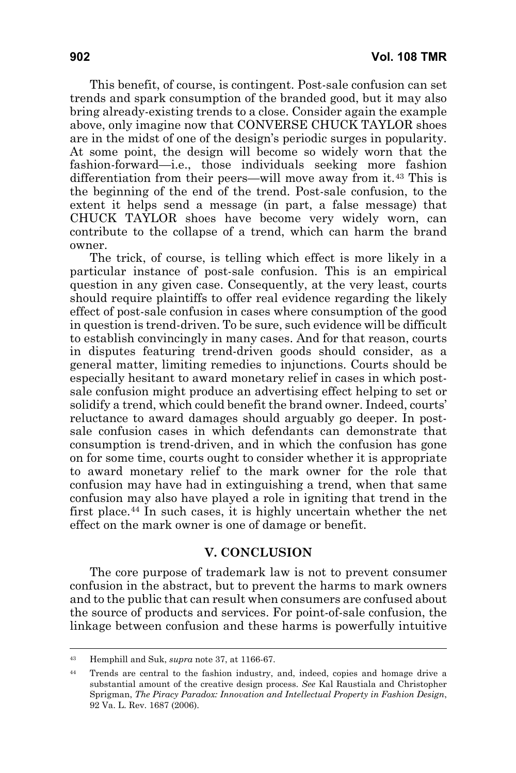This benefit, of course, is contingent. Post-sale confusion can set trends and spark consumption of the branded good, but it may also bring already-existing trends to a close. Consider again the example above, only imagine now that CONVERSE CHUCK TAYLOR shoes are in the midst of one of the design's periodic surges in popularity. At some point, the design will become so widely worn that the fashion-forward—i.e., those individuals seeking more fashion differentiation from their peers—will move away from it.[43](#page-23-0) This is the beginning of the end of the trend. Post-sale confusion, to the extent it helps send a message (in part, a false message) that CHUCK TAYLOR shoes have become very widely worn, can contribute to the collapse of a trend, which can harm the brand owner.

The trick, of course, is telling which effect is more likely in a particular instance of post-sale confusion. This is an empirical question in any given case. Consequently, at the very least, courts should require plaintiffs to offer real evidence regarding the likely effect of post-sale confusion in cases where consumption of the good in question is trend-driven. To be sure, such evidence will be difficult to establish convincingly in many cases. And for that reason, courts in disputes featuring trend-driven goods should consider, as a general matter, limiting remedies to injunctions. Courts should be especially hesitant to award monetary relief in cases in which postsale confusion might produce an advertising effect helping to set or solidify a trend, which could benefit the brand owner. Indeed, courts' reluctance to award damages should arguably go deeper. In postsale confusion cases in which defendants can demonstrate that consumption is trend-driven, and in which the confusion has gone on for some time, courts ought to consider whether it is appropriate to award monetary relief to the mark owner for the role that confusion may have had in extinguishing a trend, when that same confusion may also have played a role in igniting that trend in the first place.<sup>[44](#page-23-1)</sup> In such cases, it is highly uncertain whether the net effect on the mark owner is one of damage or benefit.

#### **V. CONCLUSION**

The core purpose of trademark law is not to prevent consumer confusion in the abstract, but to prevent the harms to mark owners and to the public that can result when consumers are confused about the source of products and services. For point-of-sale confusion, the linkage between confusion and these harms is powerfully intuitive

<span id="page-23-0"></span><sup>43</sup> Hemphill and Suk, *supra* note 37, at 1166-67.

<span id="page-23-1"></span><sup>44</sup> Trends are central to the fashion industry, and, indeed, copies and homage drive a substantial amount of the creative design process. *See* Kal Raustiala and Christopher Sprigman, *The Piracy Paradox: Innovation and Intellectual Property in Fashion Design*, 92 Va. L. Rev. 1687 (2006).